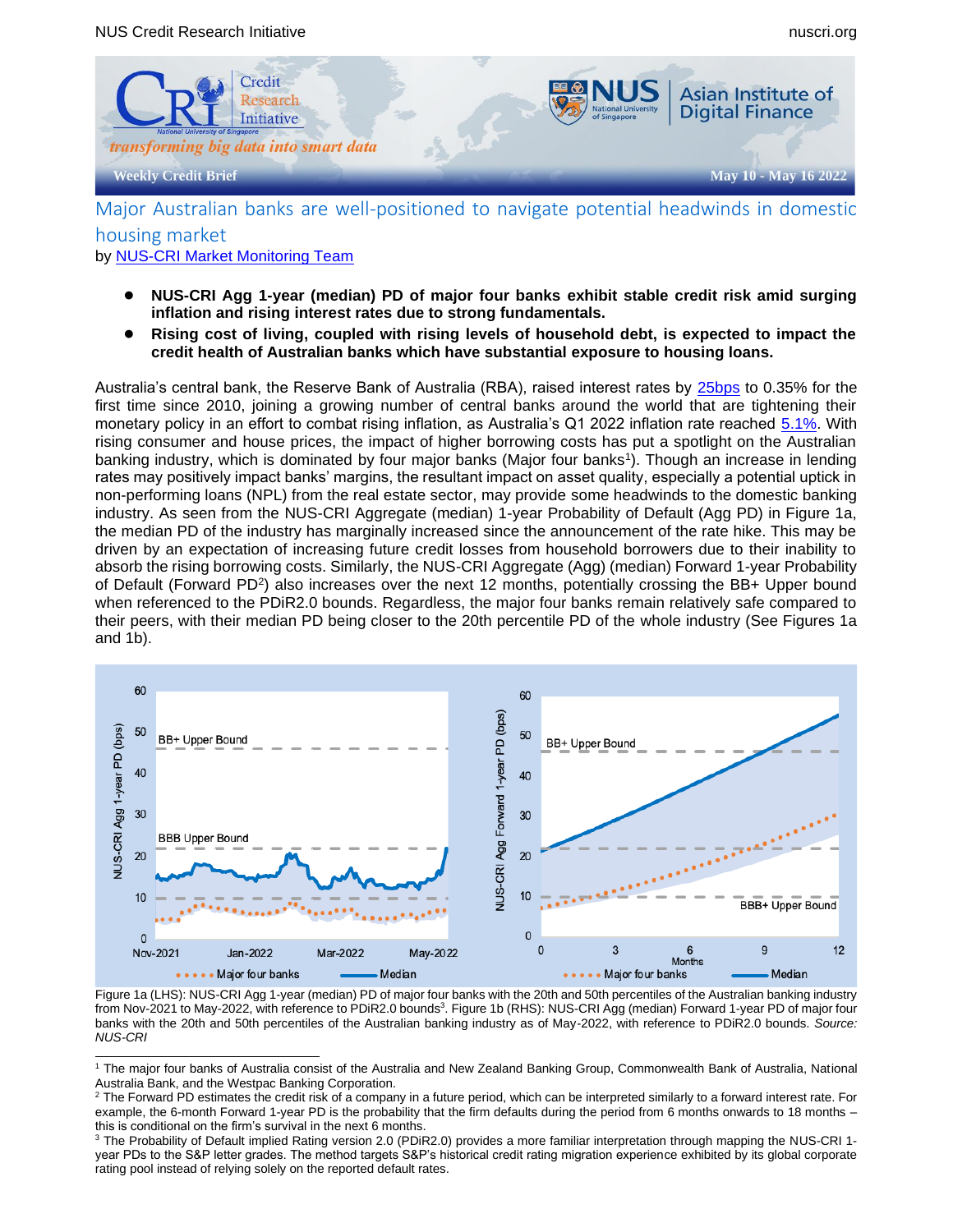

Major Australian banks are well-positioned to navigate potential headwinds in domestic housing market

by [NUS-CRI Market Monitoring Team](mailto:aidfcrimarketmonitorteam@nus.edu.sg)

- **NUS-CRI Agg 1-year (median) PD of major four banks exhibit stable credit risk amid surging inflation and rising interest rates due to strong fundamentals.**
- **Rising cost of living, coupled with rising levels of household debt, is expected to impact the credit health of Australian banks which have substantial exposure to housing loans.**

Australia's central bank, the Reserve Bank of Australia (RBA), raised interest rates by [25bps](https://www.theguardian.com/australia-news/2022/may/03/reserve-bank-of-australia-lifts-official-interest-rates-to-035-in-first-rise-since-2010) to 0.35% for the first time since 2010, joining a growing number of central banks around the world that are tightening their monetary policy in an effort to combat rising inflation, as Australia's Q1 2022 inflation rate reached [5.1%.](https://www.reuters.com/business/australian-inflation-hits-20-year-high-brings-rate-rises-near-2022-04-27/) With rising consumer and house prices, the impact of higher borrowing costs has put a spotlight on the Australian banking industry, which is dominated by four major banks (Major four banks<sup>1</sup> ). Though an increase in lending rates may positively impact banks' margins, the resultant impact on asset quality, especially a potential uptick in non-performing loans (NPL) from the real estate sector, may provide some headwinds to the domestic banking industry. As seen from the NUS-CRI Aggregate (median) 1-year Probability of Default (Agg PD) in Figure 1a, the median PD of the industry has marginally increased since the announcement of the rate hike. This may be driven by an expectation of increasing future credit losses from household borrowers due to their inability to absorb the rising borrowing costs. Similarly, the NUS-CRI Aggregate (Agg) (median) Forward 1-year Probability of Default (Forward PD<sup>2</sup>) also increases over the next 12 months, potentially crossing the BB+ Upper bound when referenced to the PDiR2.0 bounds. Regardless, the major four banks remain relatively safe compared to their peers, with their median PD being closer to the 20th percentile PD of the whole industry (See Figures 1a and 1b).



Figure 1a (LHS): NUS-CRI Agg 1-year (median) PD of major four banks with the 20th and 50th percentiles of the Australian banking industry from Nov-2021 to May-2022, with reference to PDiR2.0 bounds<sup>3</sup>. Figure 1b (RHS): NUS-CRI Agg (median) Forward 1-year PD of major four banks with the 20th and 50th percentiles of the Australian banking industry as of May-2022, with reference to PDiR2.0 bounds. *Source: NUS-CRI*

<sup>&</sup>lt;sup>1</sup> The major four banks of Australia consist of the Australia and New Zealand Banking Group, Commonwealth Bank of Australia, National Australia Bank, and the Westpac Banking Corporation.

 $2$  The Forward PD estimates the credit risk of a company in a future period, which can be interpreted similarly to a forward interest rate. For example, the 6-month Forward 1-year PD is the probability that the firm defaults during the period from 6 months onwards to 18 months – this is conditional on the firm's survival in the next 6 months.

<sup>&</sup>lt;sup>3</sup> The Probability of Default implied Rating version 2.0 (PDiR2.0) provides a more familiar interpretation through mapping the NUS-CRI 1year PDs to the S&P letter grades. The method targets S&P's historical credit rating migration experience exhibited by its global corporate rating pool instead of relying solely on the reported default rates.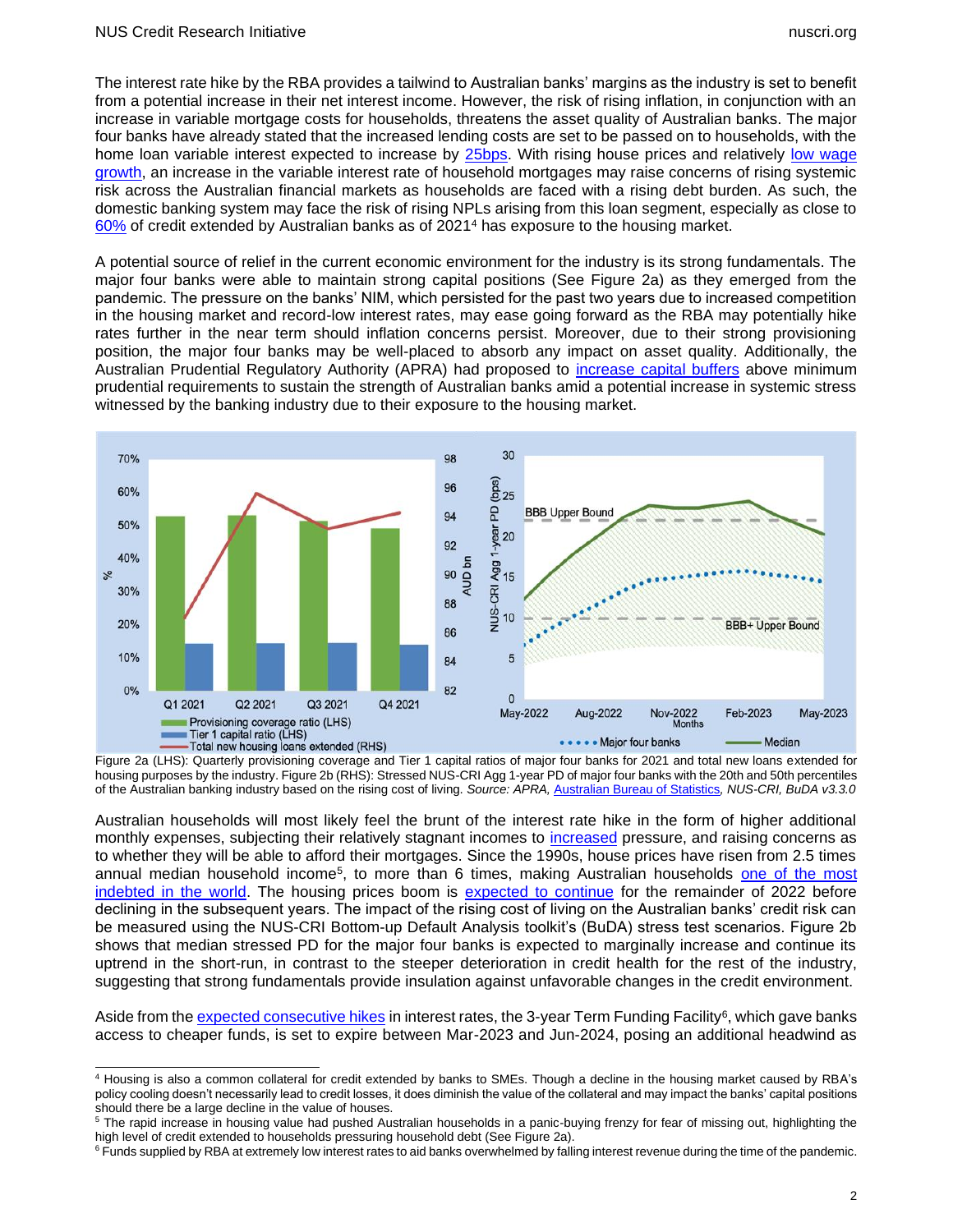The interest rate hike by the RBA provides a tailwind to Australian banks' margins as the industry is set to benefit from a potential increase in their net interest income. However, the risk of rising inflation, in conjunction with an increase in variable mortgage costs for households, threatens the asset quality of Australian banks. The major four banks have already stated that the increased lending costs are set to be passed on to households, with the home loan variable interest expected to increase by [25bps.](https://www.spglobal.com/marketintelligence/en/news-insights/latest-news-headlines/australian-banks-to-rely-on-stronger-investment-demand-as-rates-start-rising-70137872) With rising house prices and relatively low wage [growth,](https://www.channelnewsasia.com/world/australia-hikes-interest-rates-first-time-2010-2661596) an increase in the variable interest rate of household mortgages may raise concerns of rising systemic risk across the Australian financial markets as households are faced with a rising debt burden. As such, the domestic banking system may face the risk of rising NPLs arising from this loan segment, especially as close to [60%](https://www.rba.gov.au/speeches/2021/sp-ag-2021-09-22.html#:~:text=The%20Australian%20banks%20are%20very,not%20necessarily%20lead%20to%20losses.) of credit extended by Australian banks as of 2021<sup>4</sup> has exposure to the housing market.

A potential source of relief in the current economic environment for the industry is its strong fundamentals. The major four banks were able to maintain strong capital positions (See Figure 2a) as they emerged from the pandemic. The pressure on the banks' NIM, which persisted for the past two years due to increased competition in the housing market and record-low interest rates, may ease going forward as the RBA may potentially hike rates further in the near term should inflation concerns persist. Moreover, due to their strong provisioning position, the major four banks may be well-placed to absorb any impact on asset quality. Additionally, the Australian Prudential Regulatory Authority (APRA) had proposed to [increase capital buffers](https://www.apra.gov.au/sites/default/files/2021-06/Letter%20to%20ADIs_ADI%20capital%20reforms-ROADMAP%20TO%202023.pdf) above minimum prudential requirements to sustain the strength of Australian banks amid a potential increase in systemic stress witnessed by the banking industry due to their exposure to the housing market.



Figure 2a (LHS): Quarterly provisioning coverage and Tier 1 capital ratios of major four banks for 2021 and total new loans extended for housing purposes by the industry. Figure 2b (RHS): Stressed NUS-CRI Agg 1-year PD of major four banks with the 20th and 50th percentiles of the Australian banking industry based on the rising cost of living. *Source: APRA,* [Australian Bureau of Statistics](https://www.abs.gov.au/statistics/economy/finance/lending-indicators/latest-release)*, NUS-CRI, BuDA v3.3.0*

Australian households will most likely feel the brunt of the interest rate hike in the form of higher additional monthly expenses, subjecting their relatively stagnant incomes to [increased](https://www.businesstimes.com.sg/real-estate/australias-housing-market-faces-its-biggest-test-in-30-years) pressure, and raising concerns as to whether they will be able to afford their mortgages. Since the 1990s, house prices have risen from 2.5 times annual median household income<sup>5</sup>, to more than 6 times, making Australian households <u>one of the most</u> [indebted in the world.](https://www.abc.net.au/news/2022-05-05/housing-affordability-property-prices-interest-rate-rise/101034784) The housing prices boom is [expected to continue](https://www.abc.net.au/news/2021-12-30/house-prices-property-boom/100729660) for the remainder of 2022 before declining in the subsequent years. The impact of the rising cost of living on the Australian banks' credit risk can be measured using the NUS-CRI Bottom-up Default Analysis toolkit's (BuDA) stress test scenarios. Figure 2b shows that median stressed PD for the major four banks is expected to marginally increase and continue its uptrend in the short-run, in contrast to the steeper deterioration in credit health for the rest of the industry, suggesting that strong fundamentals provide insulation against unfavorable changes in the credit environment.

Aside from th[e expected consecutive hikes](https://www.businesstimes.com.sg/real-estate/australias-housing-market-faces-its-biggest-test-in-30-years) in interest rates, the 3-year Term Funding Facility<sup>6</sup>, which gave banks access to cheaper funds, is set to expire between Mar-2023 and Jun-2024, posing an additional headwind as

<sup>4</sup> Housing is also a common collateral for credit extended by banks to SMEs. Though a decline in the housing market caused by RBA's policy cooling doesn't necessarily lead to credit losses, it does diminish the value of the collateral and may impact the banks' capital positions should there be a large decline in the value of houses.

<sup>&</sup>lt;sup>5</sup> The rapid increase in housing value had pushed Australian households in a panic-buying frenzy for fear of missing out, highlighting the high level of credit extended to households pressuring household debt (See Figure 2a).

<sup>&</sup>lt;sup>6</sup> Funds supplied by RBA at extremely low interest rates to aid banks overwhelmed by falling interest revenue during the time of the pandemic.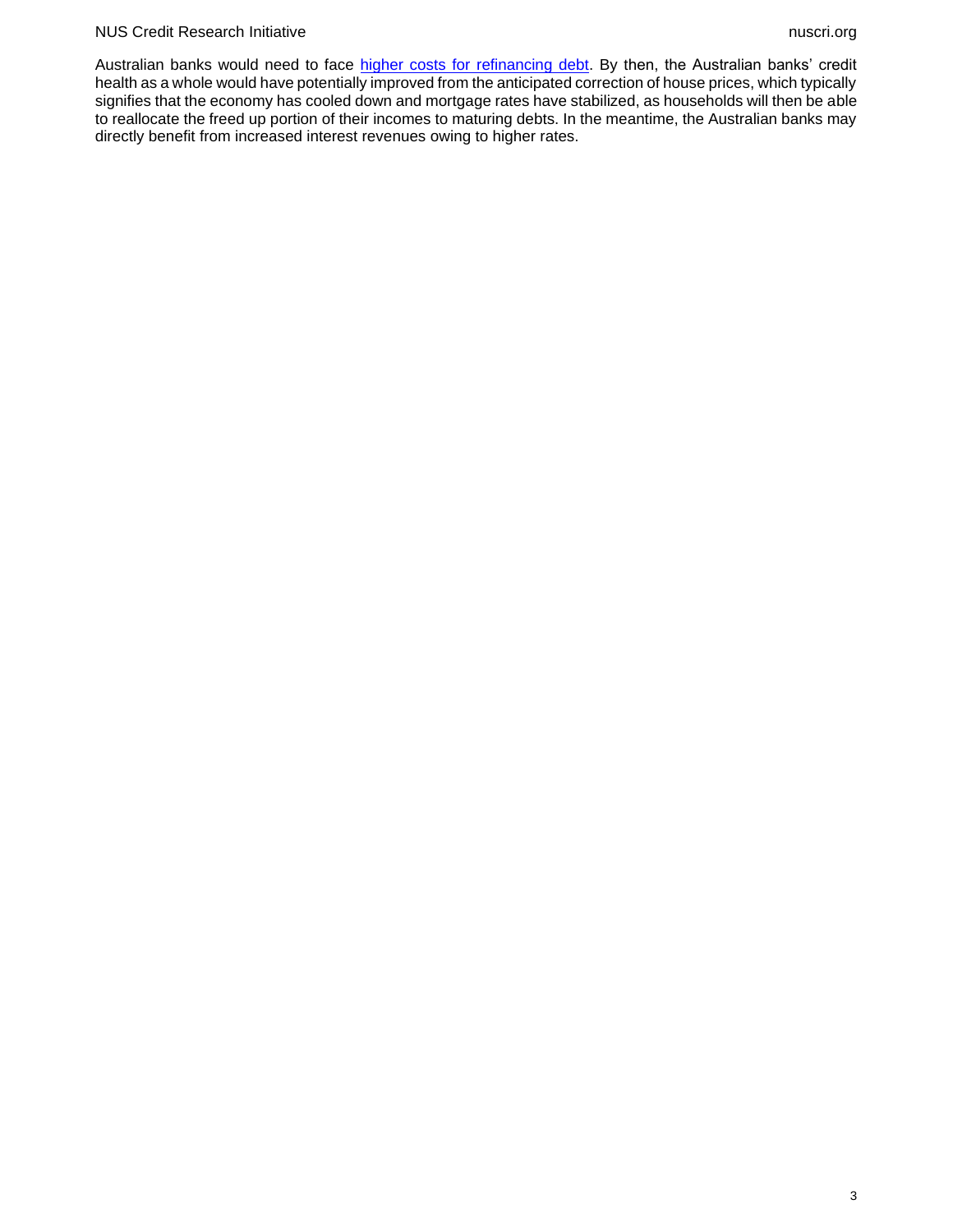#### NUS Credit Research Initiative nuscri.org

Australian banks would need to face [higher costs for refinancing debt.](https://www.spglobal.com/marketintelligence/en/news-insights/latest-news-headlines/australian-banks-return-to-bond-market-to-raise-costs-pressure-margins-69708972) By then, the Australian banks' credit health as a whole would have potentially improved from the anticipated correction of house prices, which typically signifies that the economy has cooled down and mortgage rates have stabilized, as households will then be able to reallocate the freed up portion of their incomes to maturing debts. In the meantime, the Australian banks may directly benefit from increased interest revenues owing to higher rates.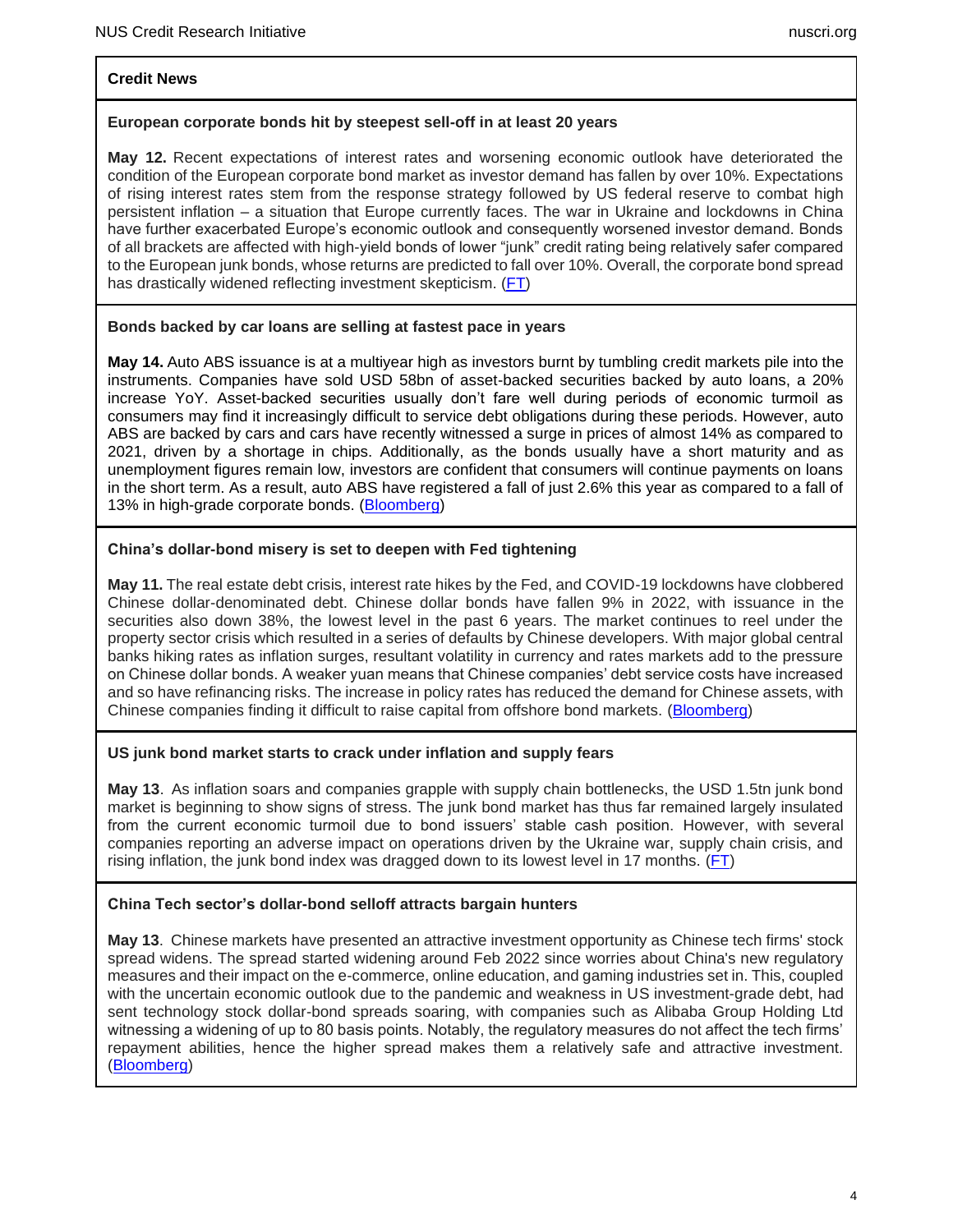## **Credit News**

## **European corporate bonds hit by steepest sell-off in at least 20 years**

**May 12.** Recent expectations of interest rates and worsening economic outlook have deteriorated the condition of the European corporate bond market as investor demand has fallen by over 10%. Expectations of rising interest rates stem from the response strategy followed by US federal reserve to combat high persistent inflation – a situation that Europe currently faces. The war in Ukraine and lockdowns in China have further exacerbated Europe's economic outlook and consequently worsened investor demand. Bonds of all brackets are affected with high-yield bonds of lower "junk" credit rating being relatively safer compared to the European junk bonds, whose returns are predicted to fall over 10%. Overall, the corporate bond spread has drastically widened reflecting investment skepticism. [\(FT\)](https://www.ft.com/content/4e35220e-7f18-47d1-9269-48f8920a5d2d)

## **Bonds backed by car loans are selling at fastest pace in years**

**May 14.** Auto ABS issuance is at a multiyear high as investors burnt by tumbling credit markets pile into the instruments. Companies have sold USD 58bn of asset-backed securities backed by auto loans, a 20% increase YoY. Asset-backed securities usually don't fare well during periods of economic turmoil as consumers may find it increasingly difficult to service debt obligations during these periods. However, auto ABS are backed by cars and cars have recently witnessed a surge in prices of almost 14% as compared to 2021, driven by a shortage in chips. Additionally, as the bonds usually have a short maturity and as unemployment figures remain low, investors are confident that consumers will continue payments on loans in the short term. As a result, auto ABS have registered a fall of just 2.6% this year as compared to a fall of 13% in high-grade corporate bonds. [\(Bloomberg\)](https://www.bloomberg.com/news/articles/2022-05-13/bonds-backed-by-car-loans-are-selling-at-fastest-pace-in-years)

## **China's dollar-bond misery is set to deepen with Fed tightening**

**May 11.** The real estate debt crisis, interest rate hikes by the Fed, and COVID-19 lockdowns have clobbered Chinese dollar-denominated debt. Chinese dollar bonds have fallen 9% in 2022, with issuance in the securities also down 38%, the lowest level in the past 6 years. The market continues to reel under the property sector crisis which resulted in a series of defaults by Chinese developers. With major global central banks hiking rates as inflation surges, resultant volatility in currency and rates markets add to the pressure on Chinese dollar bonds. A weaker yuan means that Chinese companies' debt service costs have increased and so have refinancing risks. The increase in policy rates has reduced the demand for Chinese assets, with Chinese companies finding it difficult to raise capital from offshore bond markets. [\(Bloomberg\)](https://www.bloomberg.com/news/articles/2022-05-10/china-s-dollar-bond-misery-is-set-to-deepen-with-fed-tightening)

### **US junk bond market starts to crack under inflation and supply fears**

**May 13**. As inflation soars and companies grapple with supply chain bottlenecks, the USD 1.5tn junk bond market is beginning to show signs of stress. The junk bond market has thus far remained largely insulated from the current economic turmoil due to bond issuers' stable cash position. However, with several companies reporting an adverse impact on operations driven by the Ukraine war, supply chain crisis, and rising inflation, the junk bond index was dragged down to its lowest level in 17 months. [\(FT\)](https://www.ft.com/content/f0f25ce5-1b13-4199-805a-33b5130c92ae)

# **China Tech sector's dollar-bond selloff attracts bargain hunters**

**May 13**. Chinese markets have presented an attractive investment opportunity as Chinese tech firms' stock spread widens. The spread started widening around Feb 2022 since worries about China's new regulatory measures and their impact on the e-commerce, online education, and gaming industries set in. This, coupled with the uncertain economic outlook due to the pandemic and weakness in US investment-grade debt, had sent technology stock dollar-bond spreads soaring, with companies such as Alibaba Group Holding Ltd witnessing a widening of up to 80 basis points. Notably, the regulatory measures do not affect the tech firms' repayment abilities, hence the higher spread makes them a relatively safe and attractive investment. [\(Bloomberg\)](https://www.bloomberg.com/news/articles/2022-05-12/china-tech-sector-s-dollar-bond-selloff-attracts-bargain-hunters)